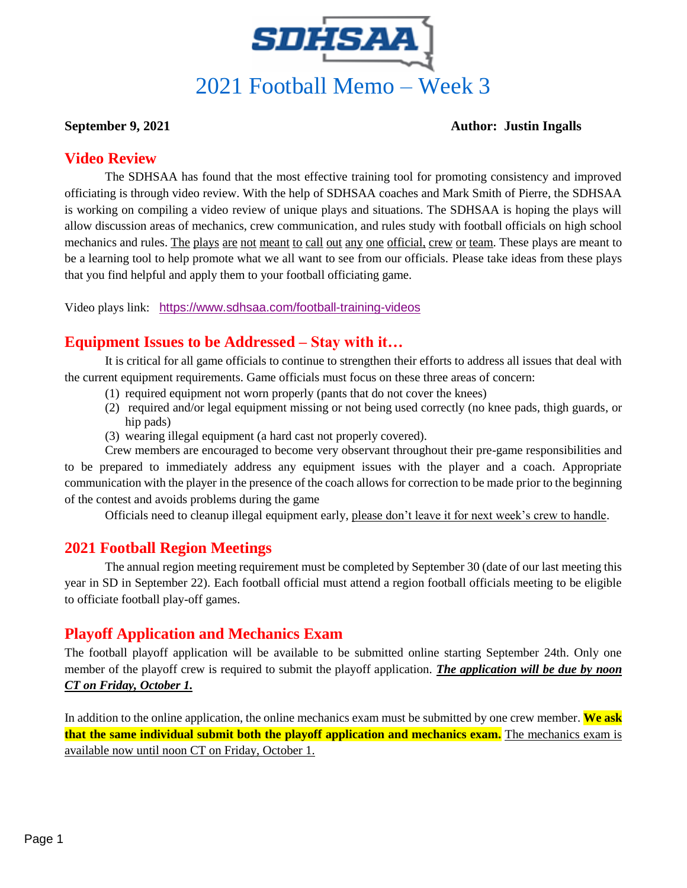

#### **September 9, 2021 Author: Justin Ingalls**

#### **Video Review**

The SDHSAA has found that the most effective training tool for promoting consistency and improved officiating is through video review. With the help of SDHSAA coaches and Mark Smith of Pierre, the SDHSAA is working on compiling a video review of unique plays and situations. The SDHSAA is hoping the plays will allow discussion areas of mechanics, crew communication, and rules study with football officials on high school mechanics and rules. The plays are not meant to call out any one official, crew or team. These plays are meant to be a learning tool to help promote what we all want to see from our officials. Please take ideas from these plays that you find helpful and apply them to your football officiating game.

Video plays link: <https://www.sdhsaa.com/football-training-videos>

## **Equipment Issues to be Addressed – Stay with it…**

It is critical for all game officials to continue to strengthen their efforts to address all issues that deal with the current equipment requirements. Game officials must focus on these three areas of concern:

- (1) required equipment not worn properly (pants that do not cover the knees)
- (2) required and/or legal equipment missing or not being used correctly (no knee pads, thigh guards, or hip pads)
- (3) wearing illegal equipment (a hard cast not properly covered).

Crew members are encouraged to become very observant throughout their pre-game responsibilities and to be prepared to immediately address any equipment issues with the player and a coach. Appropriate communication with the player in the presence of the coach allows for correction to be made prior to the beginning of the contest and avoids problems during the game

Officials need to cleanup illegal equipment early, please don't leave it for next week's crew to handle.

#### **2021 Football Region Meetings**

The annual region meeting requirement must be completed by September 30 (date of our last meeting this year in SD in September 22). Each football official must attend a region football officials meeting to be eligible to officiate football play-off games.

## **Playoff Application and Mechanics Exam**

The football playoff application will be available to be submitted online starting September 24th. Only one member of the playoff crew is required to submit the playoff application. *The application will be due by noon CT on Friday, October 1.*

In addition to the online application, the online mechanics exam must be submitted by one crew member. **We ask that the same individual submit both the playoff application and mechanics exam.** The mechanics exam is available now until noon CT on Friday, October 1.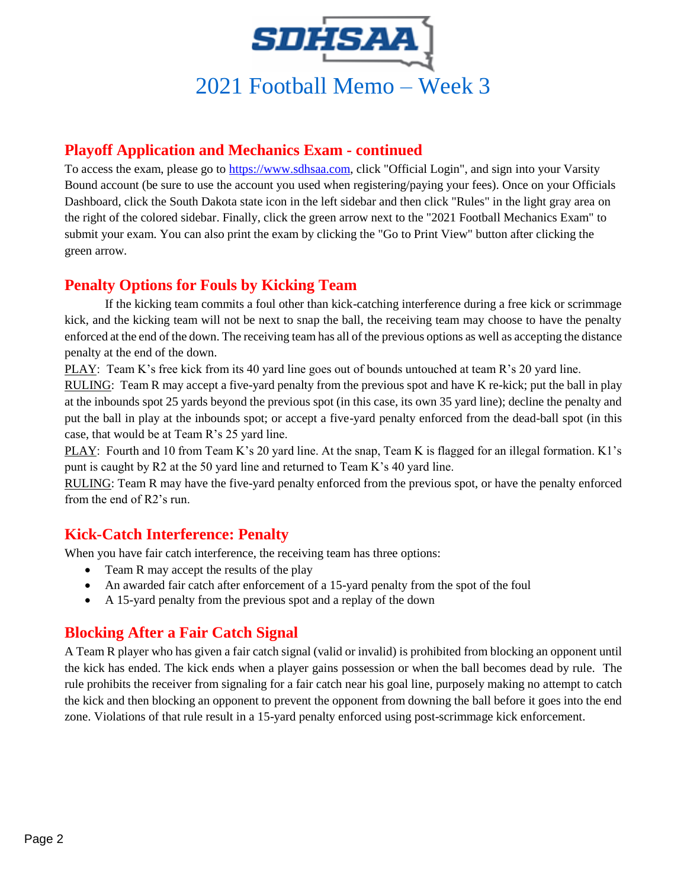

#### **Playoff Application and Mechanics Exam - continued**

To access the exam, please go to [https://www.sdhsaa.com,](https://www.sdhsaa.com/) click "Official Login", and sign into your Varsity Bound account (be sure to use the account you used when registering/paying your fees). Once on your Officials Dashboard, click the South Dakota state icon in the left sidebar and then click "Rules" in the light gray area on the right of the colored sidebar. Finally, click the green arrow next to the "2021 Football Mechanics Exam" to submit your exam. You can also print the exam by clicking the "Go to Print View" button after clicking the green arrow.

#### **Penalty Options for Fouls by Kicking Team**

If the kicking team commits a foul other than kick-catching interference during a free kick or scrimmage kick, and the kicking team will not be next to snap the ball, the receiving team may choose to have the penalty enforced at the end of the down. The receiving team has all of the previous options as well as accepting the distance penalty at the end of the down.

PLAY: Team K's free kick from its 40 yard line goes out of bounds untouched at team R's 20 yard line.

RULING: Team R may accept a five-yard penalty from the previous spot and have K re-kick; put the ball in play at the inbounds spot 25 yards beyond the previous spot (in this case, its own 35 yard line); decline the penalty and put the ball in play at the inbounds spot; or accept a five-yard penalty enforced from the dead-ball spot (in this case, that would be at Team R's 25 yard line.

PLAY: Fourth and 10 from Team K's 20 yard line. At the snap, Team K is flagged for an illegal formation. K1's punt is caught by R2 at the 50 yard line and returned to Team K's 40 yard line.

RULING: Team R may have the five-yard penalty enforced from the previous spot, or have the penalty enforced from the end of R2's run.

#### **Kick-Catch Interference: Penalty**

When you have fair catch interference, the receiving team has three options:

- Team R may accept the results of the play
- An awarded fair catch after enforcement of a 15-yard penalty from the spot of the foul
- A 15-yard penalty from the previous spot and a replay of the down

#### **Blocking After a Fair Catch Signal**

A Team R player who has given a fair catch signal (valid or invalid) is prohibited from blocking an opponent until the kick has ended. The kick ends when a player gains possession or when the ball becomes dead by rule. The rule prohibits the receiver from signaling for a fair catch near his goal line, purposely making no attempt to catch the kick and then blocking an opponent to prevent the opponent from downing the ball before it goes into the end zone. Violations of that rule result in a 15-yard penalty enforced using post-scrimmage kick enforcement.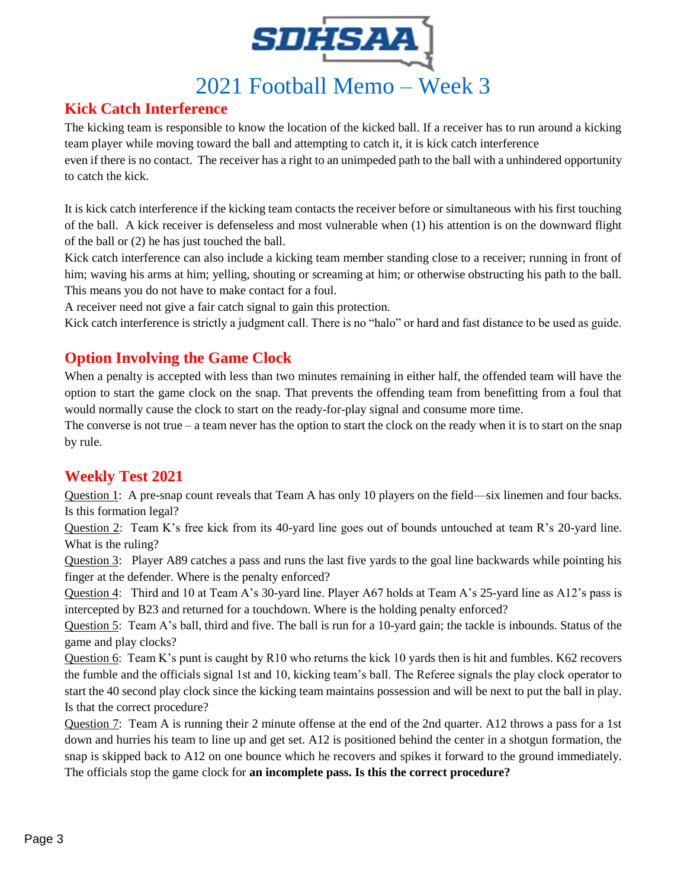

# 2021 Football Memo – Week 3

#### **Kick Catch Interference**

The kicking team is responsible to know the location of the kicked ball. If a receiver has to run around a kicking team player while moving toward the ball and attempting to catch it, it is kick catch interference

even if there is no contact. The receiver has a right to an unimpeded path to the ball with a unhindered opportunity to catch the kick.

It is kick catch interference if the kicking team contacts the receiver before or simultaneous with his first touching of the ball. A kick receiver is defenseless and most vulnerable when (1) his attention is on the downward flight of the ball or (2) he has just touched the ball.

Kick catch interference can also include a kicking team member standing close to a receiver; running in front of him; waving his arms at him; yelling, shouting or screaming at him; or otherwise obstructing his path to the ball. This means you do not have to make contact for a foul.

A receiver need not give a fair catch signal to gain this protection.

Kick catch interference is strictly a judgment call. There is no "halo" or hard and fast distance to be used as guide.

## **Option Involving the Game Clock**

When a penalty is accepted with less than two minutes remaining in either half, the offended team will have the option to start the game clock on the snap. That prevents the offending team from benefitting from a foul that would normally cause the clock to start on the ready-for-play signal and consume more time.

The converse is not true – a team never has the option to start the clock on the ready when it is to start on the snap by rule.

## **Weekly Test 2021**

Question 1: A pre-snap count reveals that Team A has only 10 players on the field—six linemen and four backs. Is this formation legal?

Question 2: Team K's free kick from its 40-yard line goes out of bounds untouched at team R's 20-yard line. What is the ruling?

Question 3: Player A89 catches a pass and runs the last five yards to the goal line backwards while pointing his finger at the defender. Where is the penalty enforced?

Question 4: Third and 10 at Team A's 30-yard line. Player A67 holds at Team A's 25-yard line as A12's pass is intercepted by B23 and returned for a touchdown. Where is the holding penalty enforced?

Question 5: Team A's ball, third and five. The ball is run for a 10-yard gain; the tackle is inbounds. Status of the game and play clocks?

Question 6: Team K's punt is caught by R10 who returns the kick 10 yards then is hit and fumbles. K62 recovers the fumble and the officials signal 1st and 10, kicking team's ball. The Referee signals the play clock operator to start the 40 second play clock since the kicking team maintains possession and will be next to put the ball in play. Is that the correct procedure?

Question 7: Team A is running their 2 minute offense at the end of the 2nd quarter. A12 throws a pass for a 1st down and hurries his team to line up and get set. A12 is positioned behind the center in a shotgun formation, the snap is skipped back to A12 on one bounce which he recovers and spikes it forward to the ground immediately. The officials stop the game clock for **an incomplete pass. Is this the correct procedure?**